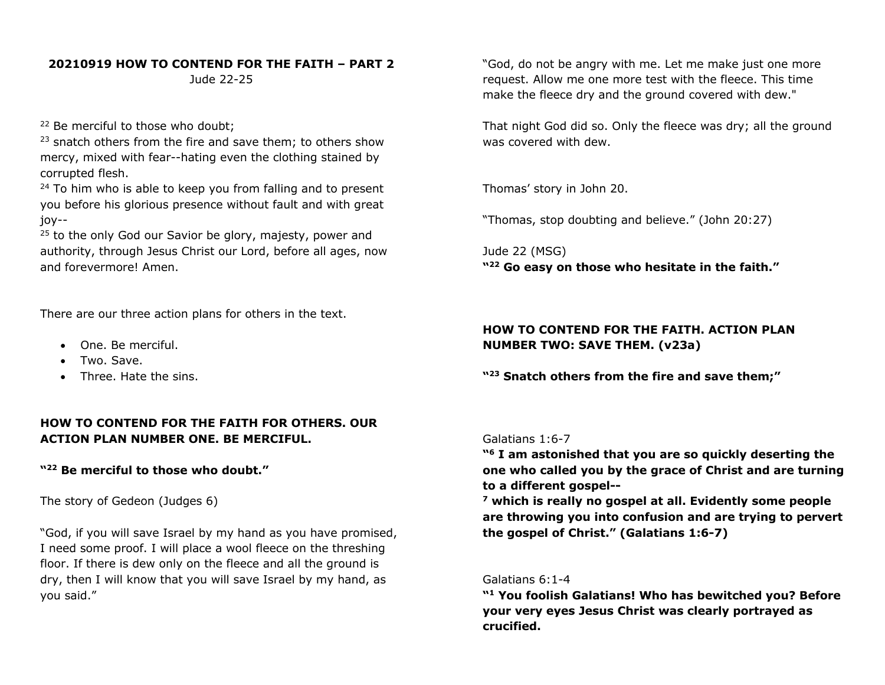#### **20210919 HOW TO CONTEND FOR THE FAITH – PART 2**

Jude 22-25

<sup>22</sup> Be merciful to those who doubt;

 $23$  snatch others from the fire and save them; to others show mercy, mixed with fear--hating even the clothing stained by corrupted flesh.

 $24$  To him who is able to keep you from falling and to present you before his glorious presence without fault and with great joy--

 $25$  to the only God our Savior be glory, majesty, power and authority, through Jesus Christ our Lord, before all ages, now and forevermore! Amen.

There are our three action plans for others in the text.

- One. Be merciful.
- Two. Save.
- Three. Hate the sins.

# **HOW TO CONTEND FOR THE FAITH FOR OTHERS. OUR ACTION PLAN NUMBER ONE. BE MERCIFUL.**

## **"22 Be merciful to those who doubt."**

The story of Gedeon (Judges 6)

"God, if you will save Israel by my hand as you have promised, I need some proof. I will place a wool fleece on the threshing floor. If there is dew only on the fleece and all the ground is dry, then I will know that you will save Israel by my hand, as you said."

"God, do not be angry with me. Let me make just one more request. Allow me one more test with the fleece. This time make the fleece dry and the ground covered with dew."

That night God did so. Only the fleece was dry; all the ground was covered with dew.

Thomas' story in John 20.

"Thomas, stop doubting and believe." (John 20:27)

Jude 22 (MSG) **"22 Go easy on those who hesitate in the faith."**

### **HOW TO CONTEND FOR THE FAITH. ACTION PLAN NUMBER TWO: SAVE THEM. (v23a)**

**"23 Snatch others from the fire and save them;"**

### Galatians 1:6-7

**"6 I am astonished that you are so quickly deserting the one who called you by the grace of Christ and are turning to a different gospel--**

**<sup>7</sup> which is really no gospel at all. Evidently some people are throwing you into confusion and are trying to pervert the gospel of Christ." (Galatians 1:6-7)**

### Galatians 6:1-4

**"1 You foolish Galatians! Who has bewitched you? Before your very eyes Jesus Christ was clearly portrayed as crucified.**